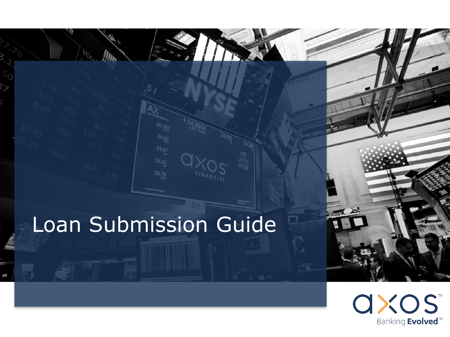# Loan Submission Guide



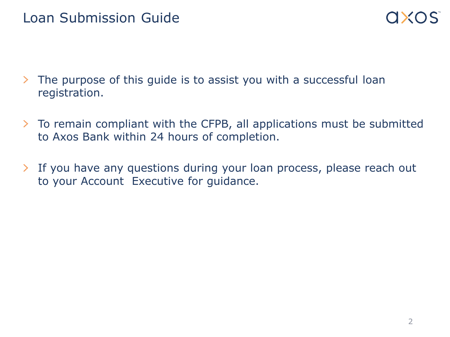- The purpose of this guide is to assist you with a successful loan  $\sum$ registration.
- $\geq$ To remain compliant with the CFPB, all applications must be submitted to Axos Bank within 24 hours of completion.
- If you have any questions during your loan process, please reach out ≻ to your Account Executive for guidance.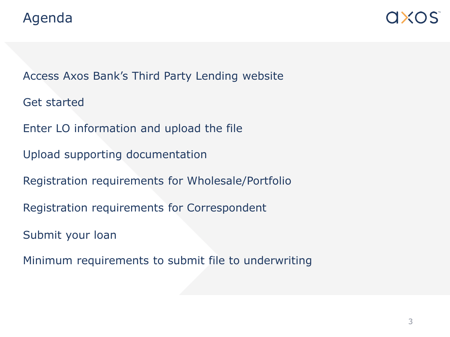Access Axos Bank's Third Party Lending website

Get started

Enter LO information and upload the file

Upload supporting documentation

Registration requirements for Wholesale/Portfolio

Registration requirements for Correspondent

Submit your loan

Minimum requirements to submit file to underwriting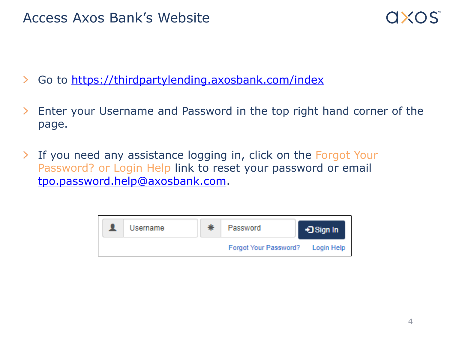

- $\sum$ Go to <https://thirdpartylending.axosbank.com/index>
- Enter your Username and Password in the top right hand corner of the  $\geq$ page.
- $\sum$ If you need any assistance logging in, click on the Forgot Your Password? or Login Help link to reset your password or email [tpo.password.help@axosbank.com.](mailto:tpo.password.help@axosbank.com)

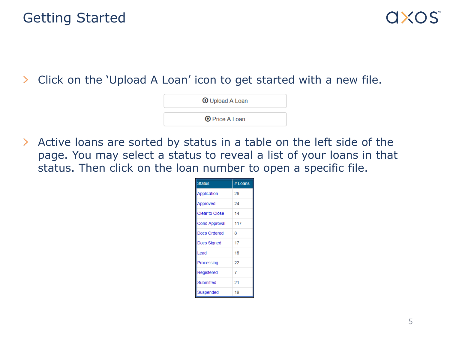Click on the 'Upload A Loan' icon to get started with a new file.  $\geq$ 

**O** Upload A Loan

**O** Price A Loan

 $\sum_{i=1}^{n}$ Active loans are sorted by status in a table on the left side of the page. You may select a status to reveal a list of your loans in that status. Then click on the loan number to open a specific file.

| <b>Status</b>         | # Loans |  |  |
|-----------------------|---------|--|--|
| <b>Application</b>    | 26      |  |  |
| Approved              | 24      |  |  |
| <b>Clear to Close</b> | 14      |  |  |
| <b>Cond Approval</b>  | 117     |  |  |
| Docs Ordered          | 8       |  |  |
| <b>Docs Signed</b>    | 17      |  |  |
| Lead                  | 18      |  |  |
| Processing            | 22      |  |  |
| Registered            | 7       |  |  |
| Submitted             | 21      |  |  |
| Suspended             | 19      |  |  |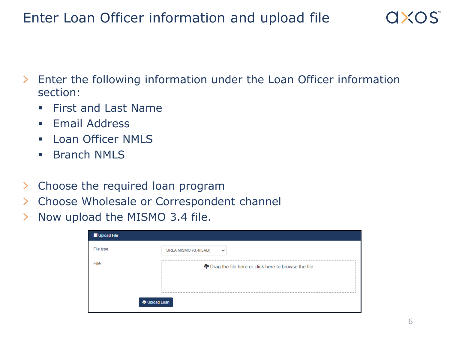## Enter Loan Officer information and upload file

- $\geq$ Enter the following information under the Loan Officer information section:
	- First and Last Name
	- **Email Address**
	- **Loan Officer NMLS**
	- **Branch NMLS**
- Choose the required loan program  $\geq$
- Choose Wholesale or Correspondent channel  $\sum$
- Now upload the MISMO 3.4 file. ≻

| Upload File |                                                         |
|-------------|---------------------------------------------------------|
| File type   | URLA MISMO v3.4(iLAD)<br>$\checkmark$                   |
| File        | The Drag the file here or click here to browse the file |
|             | <b>V</b> Upload Loan                                    |

 $QXOS$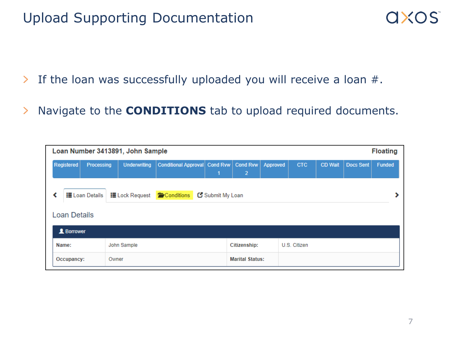### Upload Supporting Documentation

- If the loan was successfully uploaded you will receive a loan #.  $\sum_{i=1}^{n}$
- Navigate to the **CONDITIONS** tab to upload required documents.  $\left\vert \right\rangle$

| <b>Floating</b><br>Loan Number 3413891, John Sample                                                       |                     |                     |                                 |              |                                   |              |            |                |                  |        |
|-----------------------------------------------------------------------------------------------------------|---------------------|---------------------|---------------------------------|--------------|-----------------------------------|--------------|------------|----------------|------------------|--------|
| Registered                                                                                                | Processing          | <b>Underwriting</b> | Conditional Approval   Cond Rvw | 1            | <b>Cond Rvw</b><br>$\overline{2}$ | Approved     | <b>CTC</b> | <b>CD Wait</b> | <b>Docs Sent</b> | Funded |
| <b>i≣</b> Loan Details<br><b>E</b> Conditions<br>Submit My Loan<br><b>i≣</b> Lock Request<br>Loan Details |                     |                     |                                 |              |                                   |              |            |                |                  |        |
| <b>R</b> Borrower                                                                                         |                     |                     |                                 |              |                                   |              |            |                |                  |        |
| Name:<br>John Sample                                                                                      |                     |                     |                                 | Citizenship: |                                   | U.S. Citizen |            |                |                  |        |
|                                                                                                           | Owner<br>Occupancy: |                     |                                 |              | <b>Marital Status:</b>            |              |            |                |                  |        |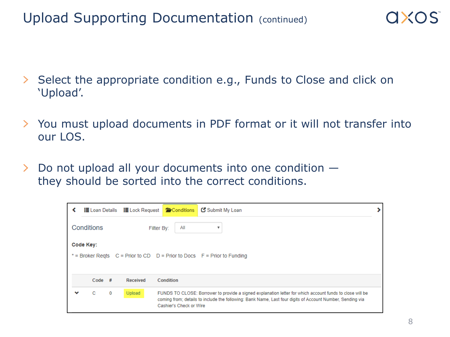- $\left\vert \right\rangle$ Select the appropriate condition e.g., Funds to Close and click on 'Upload'.
- $\sum$ You must upload documents in PDF format or it will not transfer into our LOS.
- $\geq$ Do not upload all your documents into one condition they should be sorted into the correct conditions.

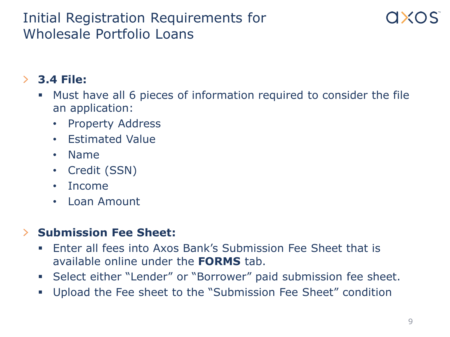### Initial Registration Requirements for Wholesale Portfolio Loans

### $\geq$ **3.4 File:**

- Must have all 6 pieces of information required to consider the file an application:
	- Property Address
	- Estimated Value
	- Name
	- Credit (SSN)
	- Income
	- Loan Amount

#### **Submission Fee Sheet:**  $\sum$

- Enter all fees into Axos Bank's Submission Fee Sheet that is available online under the **FORMS** tab.
- Select either "Lender" or "Borrower" paid submission fee sheet.
- Upload the Fee sheet to the "Submission Fee Sheet" condition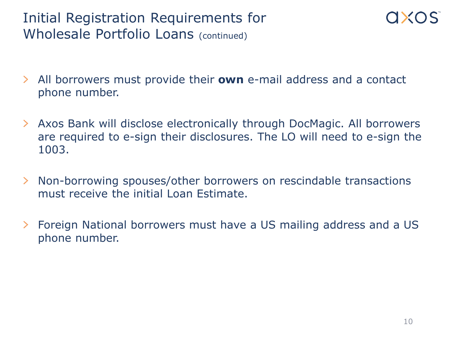## Initial Registration Requirements for Wholesale Portfolio Loans (continued)

- $\sum$ All borrowers must provide their **own** e-mail address and a contact phone number.
- Axos Bank will disclose electronically through DocMagic. All borrowers  $\geq$ are required to e-sign their disclosures. The LO will need to e-sign the 1003.
- Non-borrowing spouses/other borrowers on rescindable transactions ≻ must receive the initial Loan Estimate.
- $\geq$ Foreign National borrowers must have a US mailing address and a US phone number.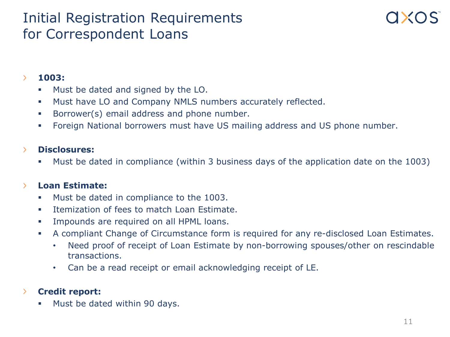### Initial Registration Requirements for Correspondent Loans

#### $\sum$ **1003:**

- Must be dated and signed by the LO.
- Must have LO and Company NMLS numbers accurately reflected.
- **Borrower(s) email address and phone number.**
- Foreign National borrowers must have US mailing address and US phone number.

#### $\sum$ **Disclosures:**

Must be dated in compliance (within 3 business days of the application date on the 1003)

#### **Loan Estimate:**  $\sum$

- Must be dated in compliance to the 1003.
- **Itemization of fees to match Loan Estimate.**
- **IMPOUT EXAMPLE 19 IMPOUT A 12 IMPOUT A 12 IMPOUT 4.1 IMPOUT 4.1 IMPOUT 4.1 IMPOUT 4.1 IMPOUT 4.1 IMPOUT 4.1 IMPOUT 4.1 IMPOUT 4.1 IMPOUT 4.1 IMPOUT 4.1 IMPOUT 4.1 IMPOUT 4.1 IMPOUT 4.1 IMPOUT 4.1 IMPOUT 4.1 IMPOUT 4.1 IMP**
- A compliant Change of Circumstance form is required for any re-disclosed Loan Estimates.
	- Need proof of receipt of Loan Estimate by non-borrowing spouses/other on rescindable transactions.
	- Can be a read receipt or email acknowledging receipt of LE.

#### **Credit report:** ≻

**Must be dated within 90 days.**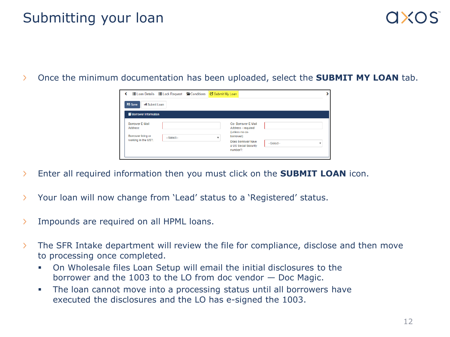### Submitting your loan

 $\sum_{i=1}^{n}$ Once the minimum documentation has been uploaded, select the **SUBMIT MY LOAN** tab.

|                                           | <b>ELoan Details ELock Request</b> <i>E</i> Conditions |  | Submit My Loan                                                            |                            |  |  |  |
|-------------------------------------------|--------------------------------------------------------|--|---------------------------------------------------------------------------|----------------------------|--|--|--|
| <b>IP</b> Save<br>Submit Loan             |                                                        |  |                                                                           |                            |  |  |  |
| <b>Borrower Information</b>               |                                                        |  |                                                                           |                            |  |  |  |
| <b>Borrower F-Mail</b><br>Address:        |                                                        |  | Co- Borrower F-Mail<br>Address - required<br>(unless no co-               |                            |  |  |  |
| Borrower living or<br>working in the US?: | $-Select-$                                             |  | borrower):<br>۰<br>Does borrower have<br>a US Social Security<br>number?: | $-Select-$<br>$\mathbf{r}$ |  |  |  |
|                                           |                                                        |  |                                                                           |                            |  |  |  |

- $\sum$ Enter all required information then you must click on the **SUBMIT LOAN** icon.
- Your loan will now change from 'Lead' status to a 'Registered' status. Y.
- Impounds are required on all HPML loans. ×.
- $\sum$ The SFR Intake department will review the file for compliance, disclose and then move to processing once completed.
	- On Wholesale files Loan Setup will email the initial disclosures to the borrower and the 1003 to the LO from doc vendor — Doc Magic.
	- The loan cannot move into a processing status until all borrowers have executed the disclosures and the LO has e-signed the 1003.